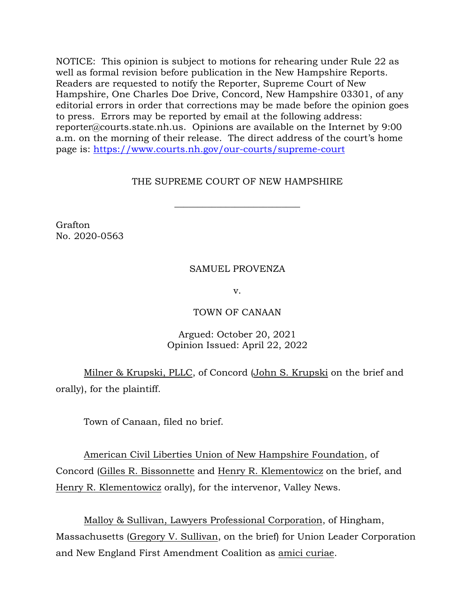NOTICE: This opinion is subject to motions for rehearing under Rule 22 as well as formal revision before publication in the New Hampshire Reports. Readers are requested to notify the Reporter, Supreme Court of New Hampshire, One Charles Doe Drive, Concord, New Hampshire 03301, of any editorial errors in order that corrections may be made before the opinion goes to press. Errors may be reported by email at the following address: reporter@courts.state.nh.us. Opinions are available on the Internet by 9:00 a.m. on the morning of their release. The direct address of the court's home page is: [https://www.courts.nh.gov/our-courts/supreme-court](https://gcc02.safelinks.protection.outlook.com/?url=https%3A%2F%2Fwww.courts.nh.gov%2Four-courts%2Fsupreme-court&data=04%7C01%7CLPlatt%40courts.state.nh.us%7Caa2db6655bdc4704e20708d9a2ef34d8%7C4b263663fabf4b6db730af1c06efff28%7C0%7C0%7C637719970537225651%7CUnknown%7CTWFpbGZsb3d8eyJWIjoiMC4wLjAwMDAiLCJQIjoiV2luMzIiLCJBTiI6Ik1haWwiLCJXVCI6Mn0%3D%7C1000&sdata=VmLIzCaIc2VpgcA78JCxp7zwT%2BpF1h5dmxaOLq6XH0g%3D&reserved=0)

# THE SUPREME COURT OF NEW HAMPSHIRE

 $\overline{\phantom{a}}$  , where  $\overline{\phantom{a}}$  , where  $\overline{\phantom{a}}$  , where  $\overline{\phantom{a}}$  ,  $\overline{\phantom{a}}$  ,  $\overline{\phantom{a}}$  ,  $\overline{\phantom{a}}$  ,  $\overline{\phantom{a}}$  ,  $\overline{\phantom{a}}$  ,  $\overline{\phantom{a}}$  ,  $\overline{\phantom{a}}$  ,  $\overline{\phantom{a}}$  ,  $\overline{\phantom{a}}$  ,  $\overline{\phantom{a}}$  ,  $\overline{\phantom$ 

Grafton No. 2020-0563

# SAMUEL PROVENZA

v.

## TOWN OF CANAAN

# Argued: October 20, 2021 Opinion Issued: April 22, 2022

Milner & Krupski, PLLC, of Concord (John S. Krupski on the brief and orally), for the plaintiff.

Town of Canaan, filed no brief.

American Civil Liberties Union of New Hampshire Foundation, of Concord (Gilles R. Bissonnette and Henry R. Klementowicz on the brief, and Henry R. Klementowicz orally), for the intervenor, Valley News.

Malloy & Sullivan, Lawyers Professional Corporation, of Hingham, Massachusetts (Gregory V. Sullivan, on the brief) for Union Leader Corporation and New England First Amendment Coalition as amici curiae.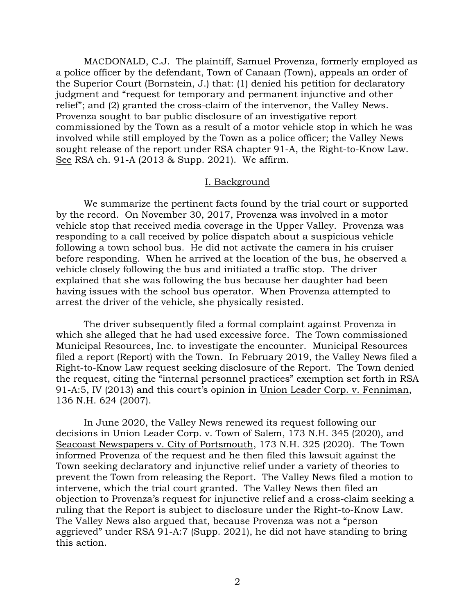MACDONALD, C.J. The plaintiff, Samuel Provenza, formerly employed as a police officer by the defendant, Town of Canaan (Town), appeals an order of the Superior Court (Bornstein, J.) that: (1) denied his petition for declaratory judgment and "request for temporary and permanent injunctive and other relief"; and (2) granted the cross-claim of the intervenor, the Valley News. Provenza sought to bar public disclosure of an investigative report commissioned by the Town as a result of a motor vehicle stop in which he was involved while still employed by the Town as a police officer; the Valley News sought release of the report under RSA chapter 91-A, the Right-to-Know Law. See RSA ch. 91-A (2013 & Supp. 2021). We affirm.

#### I. Background

We summarize the pertinent facts found by the trial court or supported by the record. On November 30, 2017, Provenza was involved in a motor vehicle stop that received media coverage in the Upper Valley. Provenza was responding to a call received by police dispatch about a suspicious vehicle following a town school bus. He did not activate the camera in his cruiser before responding. When he arrived at the location of the bus, he observed a vehicle closely following the bus and initiated a traffic stop. The driver explained that she was following the bus because her daughter had been having issues with the school bus operator. When Provenza attempted to arrest the driver of the vehicle, she physically resisted.

The driver subsequently filed a formal complaint against Provenza in which she alleged that he had used excessive force. The Town commissioned Municipal Resources, Inc. to investigate the encounter. Municipal Resources filed a report (Report) with the Town. In February 2019, the Valley News filed a Right-to-Know Law request seeking disclosure of the Report. The Town denied the request, citing the "internal personnel practices" exemption set forth in RSA 91-A:5, IV (2013) and this court's opinion in Union Leader Corp. v. Fenniman, 136 N.H. 624 (2007).

In June 2020, the Valley News renewed its request following our decisions in Union Leader Corp. v. Town of Salem, 173 N.H. 345 (2020), and Seacoast Newspapers v. City of Portsmouth, 173 N.H. 325 (2020). The Town informed Provenza of the request and he then filed this lawsuit against the Town seeking declaratory and injunctive relief under a variety of theories to prevent the Town from releasing the Report. The Valley News filed a motion to intervene, which the trial court granted. The Valley News then filed an objection to Provenza's request for injunctive relief and a cross-claim seeking a ruling that the Report is subject to disclosure under the Right-to-Know Law. The Valley News also argued that, because Provenza was not a "person aggrieved" under RSA 91-A:7 (Supp. 2021), he did not have standing to bring this action.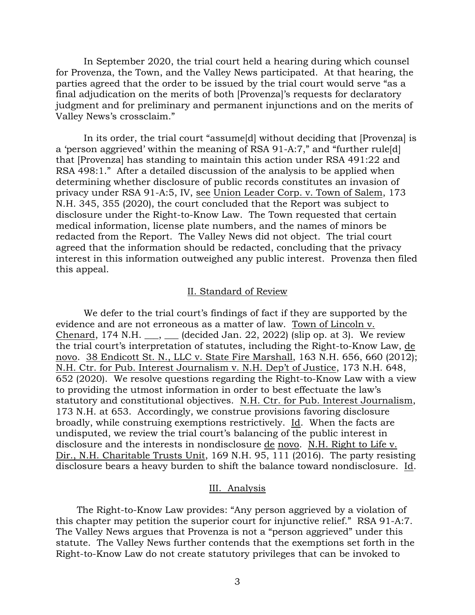In September 2020, the trial court held a hearing during which counsel for Provenza, the Town, and the Valley News participated. At that hearing, the parties agreed that the order to be issued by the trial court would serve "as a final adjudication on the merits of both [Provenza]'s requests for declaratory judgment and for preliminary and permanent injunctions and on the merits of Valley News's crossclaim."

In its order, the trial court "assume[d] without deciding that [Provenza] is a 'person aggrieved' within the meaning of RSA 91-A:7," and "further rule[d] that [Provenza] has standing to maintain this action under RSA 491:22 and RSA 498:1." After a detailed discussion of the analysis to be applied when determining whether disclosure of public records constitutes an invasion of privacy under RSA 91-A:5, IV, see Union Leader Corp. v. Town of Salem, 173 N.H. 345, 355 (2020), the court concluded that the Report was subject to disclosure under the Right-to-Know Law. The Town requested that certain medical information, license plate numbers, and the names of minors be redacted from the Report. The Valley News did not object. The trial court agreed that the information should be redacted, concluding that the privacy interest in this information outweighed any public interest. Provenza then filed this appeal.

#### II. Standard of Review

We defer to the trial court's findings of fact if they are supported by the evidence and are not erroneous as a matter of law. Town of Lincoln v. Chenard, 174 N.H.  $\ldots$ ,  $\ldots$  (decided Jan. 22, 2022) (slip op. at 3). We review the trial court's interpretation of statutes, including the Right-to-Know Law, de novo. 38 Endicott St. N., LLC v. State Fire Marshall, 163 N.H. 656, 660 (2012); N.H. Ctr. for Pub. Interest Journalism v. N.H. Dep't of Justice, 173 N.H. 648, 652 (2020). We resolve questions regarding the Right-to-Know Law with a view to providing the utmost information in order to best effectuate the law's statutory and constitutional objectives. N.H. Ctr. for Pub. Interest Journalism, 173 N.H. at 653. Accordingly, we construe provisions favoring disclosure broadly, while construing exemptions restrictively. Id. When the facts are undisputed, we review the trial court's balancing of the public interest in disclosure and the interests in nondisclosure de novo. N.H. Right to Life v. Dir., N.H. Charitable Trusts Unit, 169 N.H. 95,  $\overline{111}$  (2016). The party resisting disclosure bears a heavy burden to shift the balance toward nondisclosure. Id.

### III. Analysis

The Right-to-Know Law provides: "Any person aggrieved by a violation of this chapter may petition the superior court for injunctive relief." RSA 91-A:7. The Valley News argues that Provenza is not a "person aggrieved" under this statute. The Valley News further contends that the exemptions set forth in the Right-to-Know Law do not create statutory privileges that can be invoked to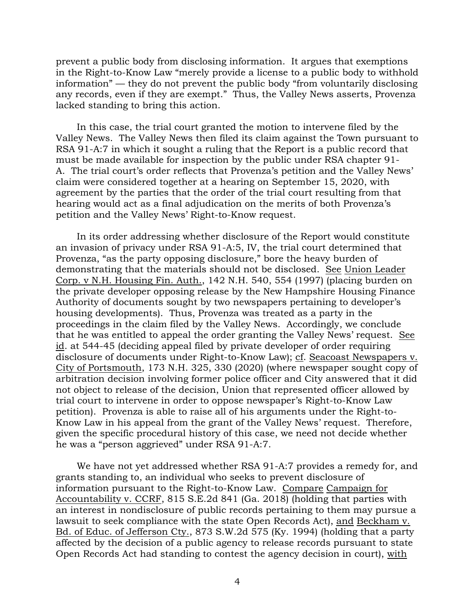prevent a public body from disclosing information. It argues that exemptions in the Right-to-Know Law "merely provide a license to a public body to withhold information" — they do not prevent the public body "from voluntarily disclosing any records, even if they are exempt." Thus, the Valley News asserts, Provenza lacked standing to bring this action.

In this case, the trial court granted the motion to intervene filed by the Valley News. The Valley News then filed its claim against the Town pursuant to RSA 91-A:7 in which it sought a ruling that the Report is a public record that must be made available for inspection by the public under RSA chapter 91- A. The trial court's order reflects that Provenza's petition and the Valley News' claim were considered together at a hearing on September 15, 2020, with agreement by the parties that the order of the trial court resulting from that hearing would act as a final adjudication on the merits of both Provenza's petition and the Valley News' Right-to-Know request.

In its order addressing whether disclosure of the Report would constitute an invasion of privacy under RSA 91-A:5, IV, the trial court determined that Provenza, "as the party opposing disclosure," bore the heavy burden of demonstrating that the materials should not be disclosed. See Union Leader Corp. v N.H. Housing Fin. Auth., 142 N.H. 540, 554 (1997) (placing burden on the private developer opposing release by the New Hampshire Housing Finance Authority of documents sought by two newspapers pertaining to developer's housing developments). Thus, Provenza was treated as a party in the proceedings in the claim filed by the Valley News. Accordingly, we conclude that he was entitled to appeal the order granting the Valley News' request. See id. at 544-45 (deciding appeal filed by private developer of order requiring disclosure of documents under Right-to-Know Law); cf. Seacoast Newspapers v. City of Portsmouth, 173 N.H. 325, 330 (2020) (where newspaper sought copy of arbitration decision involving former police officer and City answered that it did not object to release of the decision, Union that represented officer allowed by trial court to intervene in order to oppose newspaper's Right-to-Know Law petition). Provenza is able to raise all of his arguments under the Right-to-Know Law in his appeal from the grant of the Valley News' request. Therefore, given the specific procedural history of this case, we need not decide whether he was a "person aggrieved" under RSA 91-A:7.

We have not yet addressed whether RSA 91-A:7 provides a remedy for, and grants standing to, an individual who seeks to prevent disclosure of information pursuant to the Right-to-Know Law. Compare Campaign for Accountability v. CCRF, 815 S.E.2d 841 (Ga. 2018) (holding that parties with an interest in nondisclosure of public records pertaining to them may pursue a lawsuit to seek compliance with the state Open Records Act), and Beckham v. Bd. of Educ. of Jefferson Cty., 873 S.W.2d 575 (Ky. 1994) (holding that a party affected by the decision of a public agency to release records pursuant to state Open Records Act had standing to contest the agency decision in court), with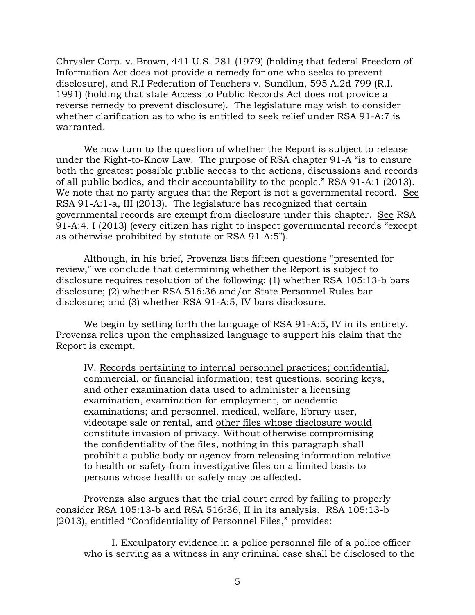Chrysler Corp. v. Brown, 441 U.S. 281 (1979) (holding that federal Freedom of Information Act does not provide a remedy for one who seeks to prevent disclosure), and R.I Federation of Teachers v. Sundlun, 595 A.2d 799 (R.I. 1991) (holding that state Access to Public Records Act does not provide a reverse remedy to prevent disclosure). The legislature may wish to consider whether clarification as to who is entitled to seek relief under RSA 91-A:7 is warranted.

We now turn to the question of whether the Report is subject to release under the Right-to-Know Law. The purpose of RSA chapter 91-A "is to ensure both the greatest possible public access to the actions, discussions and records of all public bodies, and their accountability to the people." RSA 91-A:1 (2013). We note that no party argues that the Report is not a governmental record. See RSA 91-A:1-a, III (2013). The legislature has recognized that certain governmental records are exempt from disclosure under this chapter. See RSA 91-A:4, I (2013) (every citizen has right to inspect governmental records "except as otherwise prohibited by statute or RSA 91-A:5").

Although, in his brief, Provenza lists fifteen questions "presented for review," we conclude that determining whether the Report is subject to disclosure requires resolution of the following: (1) whether RSA 105:13-b bars disclosure; (2) whether RSA 516:36 and/or State Personnel Rules bar disclosure; and (3) whether RSA 91-A:5, IV bars disclosure.

We begin by setting forth the language of RSA 91-A:5, IV in its entirety. Provenza relies upon the emphasized language to support his claim that the Report is exempt.

IV. Records pertaining to internal personnel practices; confidential, commercial, or financial information; test questions, scoring keys, and other examination data used to administer a licensing examination, examination for employment, or academic examinations; and personnel, medical, welfare, library user, videotape sale or rental, and other files whose disclosure would constitute invasion of privacy. Without otherwise compromising the confidentiality of the files, nothing in this paragraph shall prohibit a public body or agency from releasing information relative to health or safety from investigative files on a limited basis to persons whose health or safety may be affected.

Provenza also argues that the trial court erred by failing to properly consider RSA 105:13-b and RSA 516:36, II in its analysis. RSA 105:13-b (2013), entitled "Confidentiality of Personnel Files," provides:

I. Exculpatory evidence in a police personnel file of a police officer who is serving as a witness in any criminal case shall be disclosed to the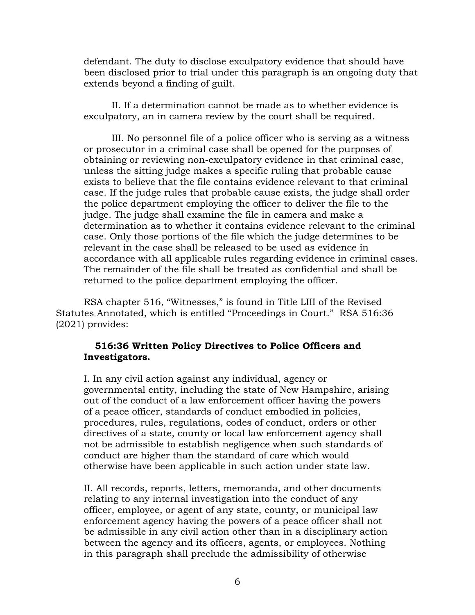defendant. The duty to disclose exculpatory evidence that should have been disclosed prior to trial under this paragraph is an ongoing duty that extends beyond a finding of guilt.

II. If a determination cannot be made as to whether evidence is exculpatory, an in camera review by the court shall be required.

III. No personnel file of a police officer who is serving as a witness or prosecutor in a criminal case shall be opened for the purposes of obtaining or reviewing non-exculpatory evidence in that criminal case, unless the sitting judge makes a specific ruling that probable cause exists to believe that the file contains evidence relevant to that criminal case. If the judge rules that probable cause exists, the judge shall order the police department employing the officer to deliver the file to the judge. The judge shall examine the file in camera and make a determination as to whether it contains evidence relevant to the criminal case. Only those portions of the file which the judge determines to be relevant in the case shall be released to be used as evidence in accordance with all applicable rules regarding evidence in criminal cases. The remainder of the file shall be treated as confidential and shall be returned to the police department employing the officer.

RSA chapter 516, "Witnesses," is found in Title LIII of the Revised Statutes Annotated, which is entitled "Proceedings in Court." RSA 516:36 (2021) provides:

### **516:36 Written Policy Directives to Police Officers and Investigators.**

I. In any civil action against any individual, agency or governmental entity, including the state of New Hampshire, arising out of the conduct of a law enforcement officer having the powers of a peace officer, standards of conduct embodied in policies, procedures, rules, regulations, codes of conduct, orders or other directives of a state, county or local law enforcement agency shall not be admissible to establish negligence when such standards of conduct are higher than the standard of care which would otherwise have been applicable in such action under state law.

II. All records, reports, letters, memoranda, and other documents relating to any internal investigation into the conduct of any officer, employee, or agent of any state, county, or municipal law enforcement agency having the powers of a peace officer shall not be admissible in any civil action other than in a disciplinary action between the agency and its officers, agents, or employees. Nothing in this paragraph shall preclude the admissibility of otherwise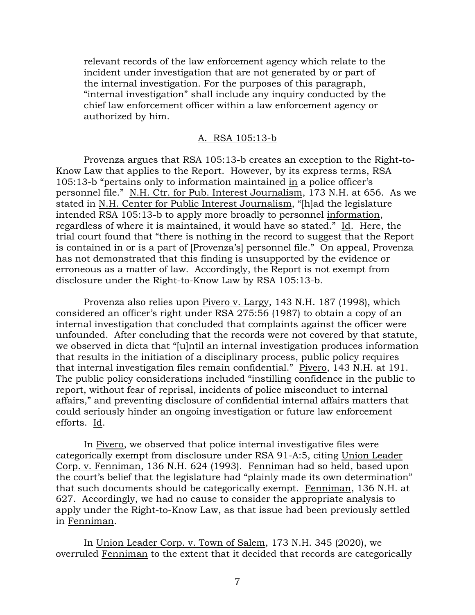relevant records of the law enforcement agency which relate to the incident under investigation that are not generated by or part of the internal investigation. For the purposes of this paragraph, "internal investigation" shall include any inquiry conducted by the chief law enforcement officer within a law enforcement agency or authorized by him.

### A. RSA 105:13-b

Provenza argues that RSA 105:13-b creates an exception to the Right-to-Know Law that applies to the Report. However, by its express terms, RSA 105:13-b "pertains only to information maintained in a police officer's personnel file." N.H. Ctr. for Pub. Interest Journalism, 173 N.H. at 656. As we stated in N.H. Center for Public Interest Journalism, "[h]ad the legislature intended RSA 105:13-b to apply more broadly to personnel information, regardless of where it is maintained, it would have so stated." Id. Here, the trial court found that "there is nothing in the record to suggest that the Report is contained in or is a part of [Provenza's] personnel file." On appeal, Provenza has not demonstrated that this finding is unsupported by the evidence or erroneous as a matter of law. Accordingly, the Report is not exempt from disclosure under the Right-to-Know Law by RSA 105:13-b.

Provenza also relies upon Pivero v. Largy, 143 N.H. 187 (1998), which considered an officer's right under RSA 275:56 (1987) to obtain a copy of an internal investigation that concluded that complaints against the officer were unfounded. After concluding that the records were not covered by that statute, we observed in dicta that "[u]ntil an internal investigation produces information that results in the initiation of a disciplinary process, public policy requires that internal investigation files remain confidential." Pivero, 143 N.H. at 191. The public policy considerations included "instilling confidence in the public to report, without fear of reprisal, incidents of police misconduct to internal affairs," and preventing disclosure of confidential internal affairs matters that could seriously hinder an ongoing investigation or future law enforcement efforts. Id.

In Pivero, we observed that police internal investigative files were categorically exempt from disclosure under RSA 91-A:5, citing Union Leader Corp. v. Fenniman, 136 N.H. 624 (1993). Fenniman had so held, based upon the court's belief that the legislature had "plainly made its own determination" that such documents should be categorically exempt. Fenniman, 136 N.H. at 627. Accordingly, we had no cause to consider the appropriate analysis to apply under the Right-to-Know Law, as that issue had been previously settled in Fenniman.

In Union Leader Corp. v. Town of Salem, 173 N.H. 345 (2020), we overruled Fenniman to the extent that it decided that records are categorically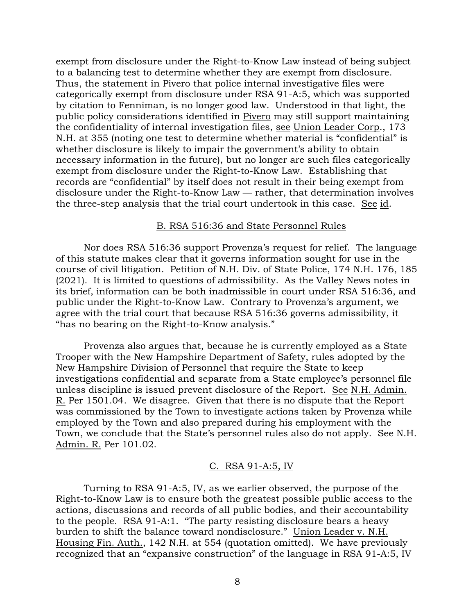exempt from disclosure under the Right-to-Know Law instead of being subject to a balancing test to determine whether they are exempt from disclosure. Thus, the statement in Pivero that police internal investigative files were categorically exempt from disclosure under RSA 91-A:5, which was supported by citation to Fenniman, is no longer good law. Understood in that light, the public policy considerations identified in Pivero may still support maintaining the confidentiality of internal investigation files, see Union Leader Corp., 173 N.H. at 355 (noting one test to determine whether material is "confidential" is whether disclosure is likely to impair the government's ability to obtain necessary information in the future), but no longer are such files categorically exempt from disclosure under the Right-to-Know Law. Establishing that records are "confidential" by itself does not result in their being exempt from disclosure under the Right-to-Know Law — rather, that determination involves the three-step analysis that the trial court undertook in this case. See id.

#### B. RSA 516:36 and State Personnel Rules

Nor does RSA 516:36 support Provenza's request for relief. The language of this statute makes clear that it governs information sought for use in the course of civil litigation. Petition of N.H. Div. of State Police, 174 N.H. 176, 185 (2021). It is limited to questions of admissibility. As the Valley News notes in its brief, information can be both inadmissible in court under RSA 516:36, and public under the Right-to-Know Law. Contrary to Provenza's argument, we agree with the trial court that because RSA 516:36 governs admissibility, it "has no bearing on the Right-to-Know analysis."

Provenza also argues that, because he is currently employed as a State Trooper with the New Hampshire Department of Safety, rules adopted by the New Hampshire Division of Personnel that require the State to keep investigations confidential and separate from a State employee's personnel file unless discipline is issued prevent disclosure of the Report. See N.H. Admin. R. Per 1501.04. We disagree. Given that there is no dispute that the Report was commissioned by the Town to investigate actions taken by Provenza while employed by the Town and also prepared during his employment with the Town, we conclude that the State's personnel rules also do not apply. See N.H. Admin. R. Per 101.02.

### C. RSA 91-A:5, IV

Turning to RSA 91-A:5, IV, as we earlier observed, the purpose of the Right-to-Know Law is to ensure both the greatest possible public access to the actions, discussions and records of all public bodies, and their accountability to the people. RSA 91-A:1. "The party resisting disclosure bears a heavy burden to shift the balance toward nondisclosure." Union Leader v. N.H. Housing Fin. Auth., 142 N.H. at 554 (quotation omitted). We have previously recognized that an "expansive construction" of the language in RSA 91-A:5, IV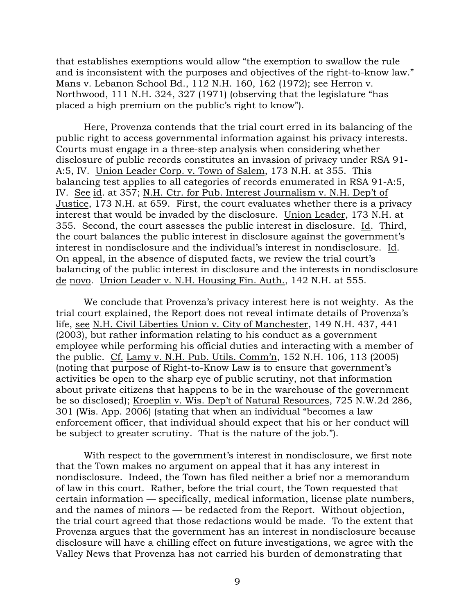that establishes exemptions would allow "the exemption to swallow the rule and is inconsistent with the purposes and objectives of the right-to-know law." Mans v. Lebanon School Bd., 112 N.H. 160, 162 (1972); see Herron v. Northwood, 111 N.H. 324, 327 (1971) (observing that the legislature "has placed a high premium on the public's right to know").

Here, Provenza contends that the trial court erred in its balancing of the public right to access governmental information against his privacy interests. Courts must engage in a three-step analysis when considering whether disclosure of public records constitutes an invasion of privacy under RSA 91- A:5, IV. Union Leader Corp. v. Town of Salem, 173 N.H. at 355. This balancing test applies to all categories of records enumerated in RSA 91-A:5, IV. See id. at 357; N.H. Ctr. for Pub. Interest Journalism v. N.H. Dep't of Justice, 173 N.H. at 659. First, the court evaluates whether there is a privacy interest that would be invaded by the disclosure. Union Leader, 173 N.H. at 355. Second, the court assesses the public interest in disclosure. Id. Third, the court balances the public interest in disclosure against the government's interest in nondisclosure and the individual's interest in nondisclosure. Id. On appeal, in the absence of disputed facts, we review the trial court's balancing of the public interest in disclosure and the interests in nondisclosure de novo. Union Leader v. N.H. Housing Fin. Auth., 142 N.H. at 555.

We conclude that Provenza's privacy interest here is not weighty. As the trial court explained, the Report does not reveal intimate details of Provenza's life, see N.H. Civil Liberties Union v. City of Manchester, 149 N.H. 437, 441 (2003), but rather information relating to his conduct as a government employee while performing his official duties and interacting with a member of the public. Cf. Lamy v. N.H. Pub. Utils. Comm'n, 152 N.H. 106, 113 (2005) (noting that purpose of Right-to-Know Law is to ensure that government's activities be open to the sharp eye of public scrutiny, not that information about private citizens that happens to be in the warehouse of the government be so disclosed); Kroeplin v. Wis. Dep't of Natural Resources, 725 N.W.2d 286, 301 (Wis. App. 2006) (stating that when an individual "becomes a law enforcement officer, that individual should expect that his or her conduct will be subject to greater scrutiny. That is the nature of the job.").

With respect to the government's interest in nondisclosure, we first note that the Town makes no argument on appeal that it has any interest in nondisclosure. Indeed, the Town has filed neither a brief nor a memorandum of law in this court. Rather, before the trial court, the Town requested that certain information — specifically, medical information, license plate numbers, and the names of minors — be redacted from the Report. Without objection, the trial court agreed that those redactions would be made. To the extent that Provenza argues that the government has an interest in nondisclosure because disclosure will have a chilling effect on future investigations, we agree with the Valley News that Provenza has not carried his burden of demonstrating that